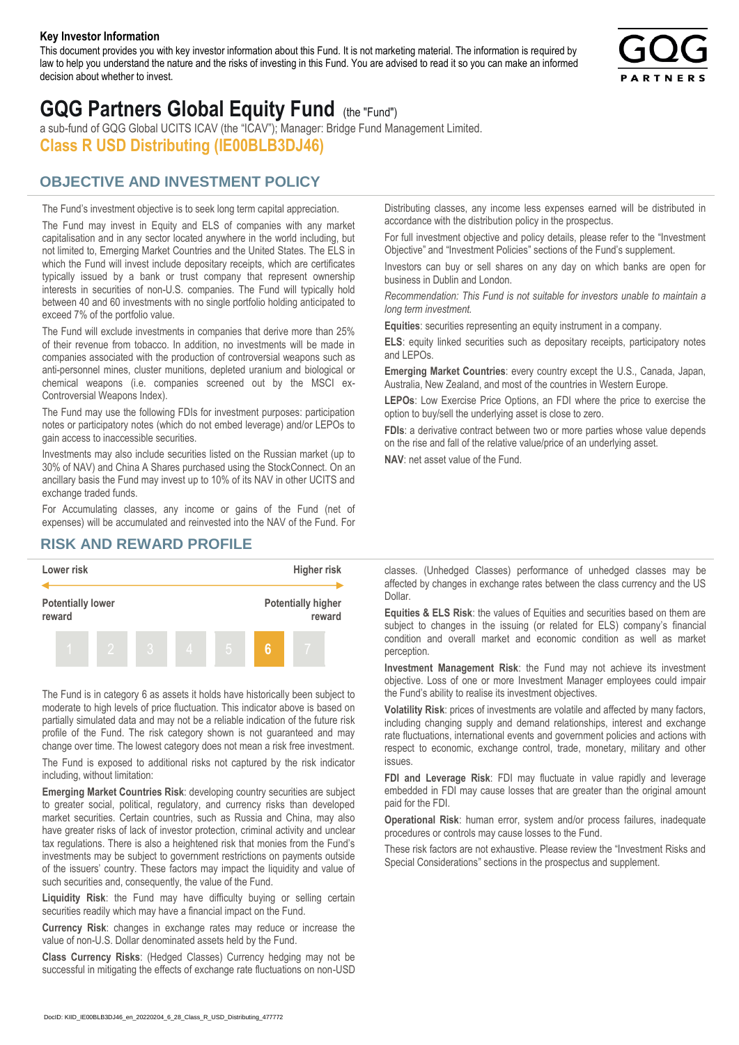#### **Key Investor Information**

This document provides you with key investor information about this Fund. It is not marketing material. The information is required by law to help you understand the nature and the risks of investing in this Fund. You are advised to read it so you can make an informed decision about whether to invest.



# **GQG Partners Global Equity Fund** (the "Fund")

a sub-fund of GQG Global UCITS ICAV (the "ICAV"); Manager: Bridge Fund Management Limited. **Class R USD Distributing (IE00BLB3DJ46)**

### **OBJECTIVE AND INVESTMENT POLICY**

The Fund's investment objective is to seek long term capital appreciation. The Fund may invest in Equity and ELS of companies with any market capitalisation and in any sector located anywhere in the world including, but not limited to, Emerging Market Countries and the United States. The ELS in which the Fund will invest include depositary receipts, which are certificates typically issued by a bank or trust company that represent ownership interests in securities of non-U.S. companies. The Fund will typically hold between 40 and 60 investments with no single portfolio holding anticipated to exceed 7% of the portfolio value.

The Fund will exclude investments in companies that derive more than 25% of their revenue from tobacco. In addition, no investments will be made in companies associated with the production of controversial weapons such as anti-personnel mines, cluster munitions, depleted uranium and biological or chemical weapons (i.e. companies screened out by the MSCI ex-Controversial Weapons Index).

The Fund may use the following FDIs for investment purposes: participation notes or participatory notes (which do not embed leverage) and/or LEPOs to gain access to inaccessible securities.

Investments may also include securities listed on the Russian market (up to 30% of NAV) and China A Shares purchased using the StockConnect. On an ancillary basis the Fund may invest up to 10% of its NAV in other UCITS and exchange traded funds.

For Accumulating classes, any income or gains of the Fund (net of expenses) will be accumulated and reinvested into the NAV of the Fund. For Distributing classes, any income less expenses earned will be distributed in accordance with the distribution policy in the prospectus.

For full investment objective and policy details, please refer to the "Investment Objective" and "Investment Policies" sections of the Fund's supplement.

Investors can buy or sell shares on any day on which banks are open for business in Dublin and London.

*Recommendation: This Fund is not suitable for investors unable to maintain a long term investment.*

**Equities**: securities representing an equity instrument in a company.

**ELS**: equity linked securities such as depositary receipts, participatory notes and LEPOs.

**Emerging Market Countries**: every country except the U.S., Canada, Japan, Australia, New Zealand, and most of the countries in Western Europe.

**LEPOs**: Low Exercise Price Options, an FDI where the price to exercise the option to buy/sell the underlying asset is close to zero.

**FDIs**: a derivative contract between two or more parties whose value depends on the rise and fall of the relative value/price of an underlying asset.

**NAV**: net asset value of the Fund.

#### **RISK AND REWARD PROFILE**



The Fund is in category 6 as assets it holds have historically been subject to moderate to high levels of price fluctuation. This indicator above is based on partially simulated data and may not be a reliable indication of the future risk profile of the Fund. The risk category shown is not guaranteed and may change over time. The lowest category does not mean a risk free investment.

The Fund is exposed to additional risks not captured by the risk indicator including, without limitation:

**Emerging Market Countries Risk**: developing country securities are subject to greater social, political, regulatory, and currency risks than developed market securities. Certain countries, such as Russia and China, may also have greater risks of lack of investor protection, criminal activity and unclear tax regulations. There is also a heightened risk that monies from the Fund's investments may be subject to government restrictions on payments outside of the issuers' country. These factors may impact the liquidity and value of such securities and, consequently, the value of the Fund.

**Liquidity Risk**: the Fund may have difficulty buying or selling certain securities readily which may have a financial impact on the Fund.

**Currency Risk**: changes in exchange rates may reduce or increase the value of non-U.S. Dollar denominated assets held by the Fund.

**Class Currency Risks**: (Hedged Classes) Currency hedging may not be successful in mitigating the effects of exchange rate fluctuations on non-USD classes. (Unhedged Classes) performance of unhedged classes may be affected by changes in exchange rates between the class currency and the US Dollar.

**Equities & ELS Risk**: the values of Equities and securities based on them are subject to changes in the issuing (or related for ELS) company's financial condition and overall market and economic condition as well as market perception.

**Investment Management Risk**: the Fund may not achieve its investment objective. Loss of one or more Investment Manager employees could impair the Fund's ability to realise its investment objectives.

**Volatility Risk**: prices of investments are volatile and affected by many factors, including changing supply and demand relationships, interest and exchange rate fluctuations, international events and government policies and actions with respect to economic, exchange control, trade, monetary, military and other issues.

**FDI and Leverage Risk**: FDI may fluctuate in value rapidly and leverage embedded in FDI may cause losses that are greater than the original amount paid for the FDI.

**Operational Risk**: human error, system and/or process failures, inadequate procedures or controls may cause losses to the Fund.

These risk factors are not exhaustive. Please review the "Investment Risks and Special Considerations" sections in the prospectus and supplement.